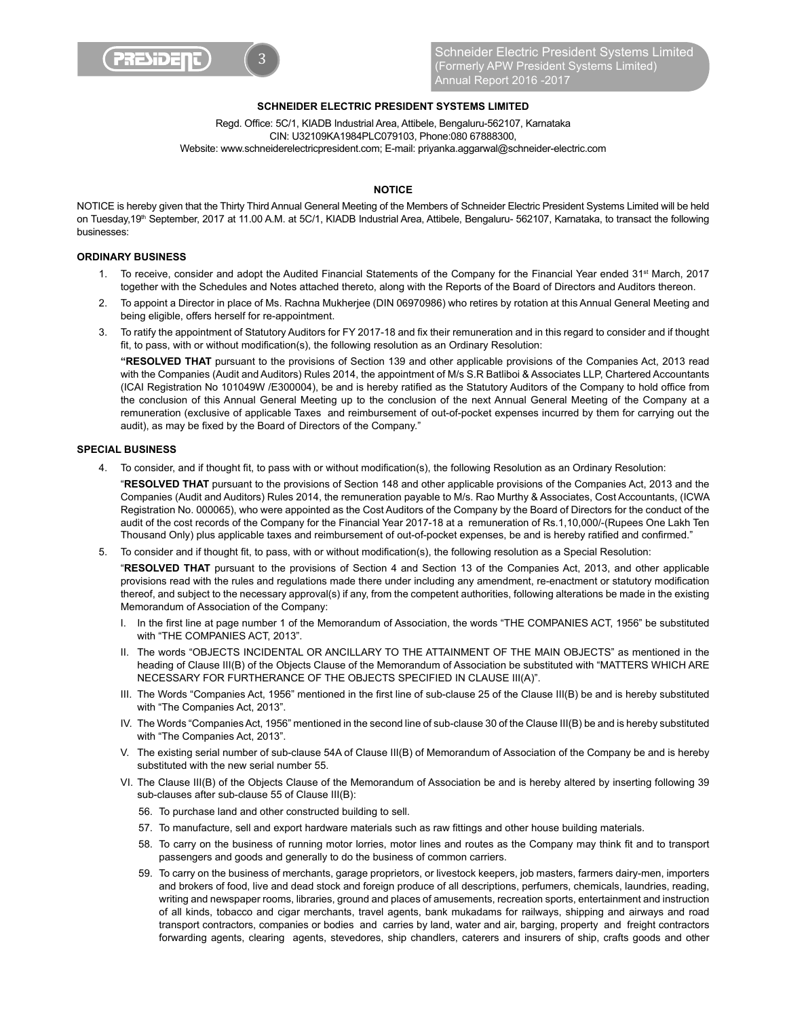

# **SCHNEIDER ELECTRIC PRESIDENT SYSTEMS LIMITED**

Read, Office: 5C/1, KIADB Industrial Area, Attibele, Bengaluru-562107, Karnataka CIN: U32109KA1984PLC079103, Phone:080 67888300, Website: www.schneiderelectricpresident.com; E-mail: priyanka.aggarwal@schneider-electric.com

## **NOTICE**

NOTICE is hereby given that the Thirty Third Annual General Meeting of the Members of Schneider Electric President Systems Limited will be held on Tuesday,19<sup>th</sup> September, 2017 at 11.00 A.M. at 5C/1, KIADB Industrial Area, Attibele, Bengaluru- 562107, Karnataka, to transact the following businesses:

#### **ORDINARY BUSINESS**

- 1. To receive, consider and adopt the Audited Financial Statements of the Company for the Financial Year ended 31<sup>st</sup> March, 2017 together with the Schedules and Notes attached thereto, along with the Reports of the Board of Directors and Auditors thereon.
- 2. To appoint a Director in place of Ms. Rachna Mukherjee (DIN 06970986) who retires by rotation at this Annual General Meeting and being eligible, offers herself for re-appointment.
- 3. To ratify the appointment of Statutory Auditors for FY 2017-18 and fix their remuneration and in this regard to consider and if thought fit, to pass, with or without modification(s), the following resolution as an Ordinary Resolution:

 **"RESOLVED THAT** pursuant to the provisions of Section 139 and other applicable provisions of the Companies Act, 2013 read with the Companies (Audit and Auditors) Rules 2014, the appointment of M/s S.R Batliboi & Associates LLP, Chartered Accountants (ICAI Registration No 101049W /E300004), be and is hereby ratified as the Statutory Auditors of the Company to hold office from the conclusion of this Annual General Meeting up to the conclusion of the next Annual General Meeting of the Company at a remuneration (exclusive of applicable Taxes and reimbursement of out-of-pocket expenses incurred by them for carrying out the audit), as may be fixed by the Board of Directors of the Company."

# **SPECIAL BUSINESS**

4. To consider, and if thought fit, to pass with or without modification(s), the following Resolution as an Ordinary Resolution:

 "**RESOLVED THAT** pursuant to the provisions of Section 148 and other applicable provisions of the Companies Act, 2013 and the Companies (Audit and Auditors) Rules 2014, the remuneration payable to M/s. Rao Murthy & Associates, Cost Accountants, (ICWA Registration No. 000065), who were appointed as the Cost Auditors of the Company by the Board of Directors for the conduct of the audit of the cost records of the Company for the Financial Year 2017-18 at a remuneration of Rs.1,10,000/-(Rupees One Lakh Ten Thousand Only) plus applicable taxes and reimbursement of out-of-pocket expenses, be and is hereby ratified and confirmed."

5. To consider and if thought fit, to pass, with or without modification(s), the following resolution as a Special Resolution:

 "**RESOLVED THAT** pursuant to the provisions of Section 4 and Section 13 of the Companies Act, 2013, and other applicable provisions read with the rules and regulations made there under including any amendment, re-enactment or statutory modification thereof, and subject to the necessary approval(s) if any, from the competent authorities, following alterations be made in the existing Memorandum of Association of the Company:

- 1. In the first line at page number 1 of the Memorandum of Association, the words "THE COMPANIES ACT, 1956" be substituted with "THE COMPANIES ACT, 2013".
- II. The words "OBJECTS INCIDENTAL OR ANCILLARY TO THE ATTAINMENT OF THE MAIN OBJECTS" as mentioned in the heading of Clause III(B) of the Objects Clause of the Memorandum of Association be substituted with "MATTERS WHICH ARE NECESSARY FOR FURTHERANCE OF THE OBJECTS SPECIFIED IN CLAUSE III(A)".
- III. The Words "Companies Act, 1956" mentioned in the first line of sub-clause 25 of the Clause III(B) be and is hereby substituted with "The Companies Act, 2013".
- IV. The Words "Companies Act, 1956" mentioned in the second line of sub-clause 30 of the Clause III(B) be and is hereby substituted with "The Companies Act, 2013".
- V. The existing serial number of sub-clause 54A of Clause III(B) of Memorandum of Association of the Company be and is hereby substituted with the new serial number 55.
- VI. The Clause III(B) of the Objects Clause of the Memorandum of Association be and is hereby altered by inserting following 39 sub-clauses after sub-clause 55 of Clause III(B):
	- 56. To purchase land and other constructed building to sell.
	- 57. To manufacture, sell and export hardware materials such as raw fittings and other house building materials.
	- 58. To carry on the business of running motor lorries, motor lines and routes as the Company may think fit and to transport passengers and goods and generally to do the business of common carriers.
	- 59. To carry on the business of merchants, garage proprietors, or livestock keepers, job masters, farmers dairy-men, importers and brokers of food, live and dead stock and foreign produce of all descriptions, perfumers, chemicals, laundries, reading, writing and newspaper rooms, libraries, ground and places of amusements, recreation sports, entertainment and instruction of all kinds, tobacco and cigar merchants, travel agents, bank mukadams for railways, shipping and airways and road transport contractors, companies or bodies and carries by land, water and air, barging, property and freight contractors forwarding agents, clearing agents, stevedores, ship chandlers, caterers and insurers of ship, crafts goods and other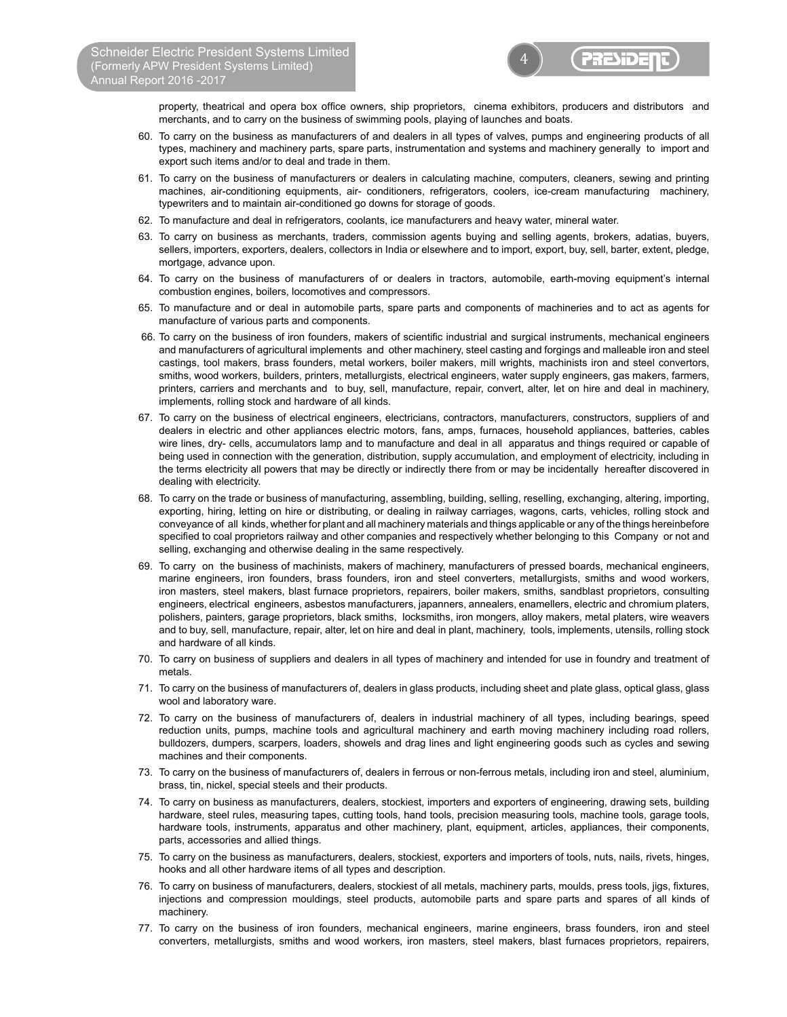4 **PRESIDE** 

property, theatrical and opera box office owners, ship proprietors, cinema exhibitors, producers and distributors and merchants, and to carry on the business of swimming pools, playing of launches and boats.

- 60. To carry on the business as manufacturers of and dealers in all types of valves, pumps and engineering products of all types, machinery and machinery parts, spare parts, instrumentation and systems and machinery generally to import and export such items and/or to deal and trade in them.
- 61. To carry on the business of manufacturers or dealers in calculating machine, computers, cleaners, sewing and printing machines, air-conditioning equipments, air- conditioners, refrigerators, coolers, ice-cream manufacturing machinery, typewriters and to maintain air-conditioned go downs for storage of goods.
- 62. To manufacture and deal in refrigerators, coolants, ice manufacturers and heavy water, mineral water.
- 63. To carry on business as merchants, traders, commission agents buying and selling agents, brokers, adatias, buyers, sellers, importers, exporters, dealers, collectors in India or elsewhere and to import, export, buy, sell, barter, extent, pledge, mortgage, advance upon.
- 64. To carry on the business of manufacturers of or dealers in tractors, automobile, earth-moving equipment's internal combustion engines, boilers, locomotives and compressors.
- 65. To manufacture and or deal in automobile parts, spare parts and components of machineries and to act as agents for manufacture of various parts and components.
- 66. To carry on the business of iron founders, makers of scientific industrial and surgical instruments, mechanical engineers and manufacturers of agricultural implements and other machinery, steel casting and forgings and malleable iron and steel castings, tool makers, brass founders, metal workers, boiler makers, mill wrights, machinists iron and steel convertors, smiths, wood workers, builders, printers, metallurgists, electrical engineers, water supply engineers, gas makers, farmers, printers, carriers and merchants and to buy, sell, manufacture, repair, convert, alter, let on hire and deal in machinery, implements, rolling stock and hardware of all kinds.
- 67. To carry on the business of electrical engineers, electricians, contractors, manufacturers, constructors, suppliers of and dealers in electric and other appliances electric motors, fans, amps, furnaces, household appliances, batteries, cables wire lines, dry- cells, accumulators lamp and to manufacture and deal in all apparatus and things required or capable of being used in connection with the generation, distribution, supply accumulation, and employment of electricity, including in the terms electricity all powers that may be directly or indirectly there from or may be incidentally hereafter discovered in dealing with electricity.
- 68. To carry on the trade or business of manufacturing, assembling, building, selling, reselling, exchanging, altering, importing, exporting, hiring, letting on hire or distributing, or dealing in railway carriages, wagons, carts, vehicles, rolling stock and conveyance of all kinds, whether for plant and all machinery materials and things applicable or any of the things hereinbefore specified to coal proprietors railway and other companies and respectively whether belonging to this Company or not and selling, exchanging and otherwise dealing in the same respectively.
- 69. To carry on the business of machinists, makers of machinery, manufacturers of pressed boards, mechanical engineers, marine engineers, iron founders, brass founders, iron and steel converters, metallurgists, smiths and wood workers, iron masters, steel makers, blast furnace proprietors, repairers, boiler makers, smiths, sandblast proprietors, consulting engineers, electrical engineers, asbestos manufacturers, japanners, annealers, enamellers, electric and chromium platers, polishers, painters, garage proprietors, black smiths, locksmiths, iron mongers, alloy makers, metal platers, wire weavers and to buy, sell, manufacture, repair, alter, let on hire and deal in plant, machinery, tools, implements, utensils, rolling stock and hardware of all kinds.
- 70. To carry on business of suppliers and dealers in all types of machinery and intended for use in foundry and treatment of metals.
- 71. To carry on the business of manufacturers of, dealers in glass products, including sheet and plate glass, optical glass, glass wool and laboratory ware.
- 72. To carry on the business of manufacturers of, dealers in industrial machinery of all types, including bearings, speed reduction units, pumps, machine tools and agricultural machinery and earth moving machinery including road rollers, bulldozers, dumpers, scarpers, loaders, showels and drag lines and light engineering goods such as cycles and sewing machines and their components.
- 73. To carry on the business of manufacturers of, dealers in ferrous or non-ferrous metals, including iron and steel, aluminium, brass, tin, nickel, special steels and their products.
- 74. To carry on business as manufacturers, dealers, stockiest, importers and exporters of engineering, drawing sets, building hardware, steel rules, measuring tapes, cutting tools, hand tools, precision measuring tools, machine tools, garage tools, hardware tools, instruments, apparatus and other machinery, plant, equipment, articles, appliances, their components, parts, accessories and allied things.
- 75. To carry on the business as manufacturers, dealers, stockiest, exporters and importers of tools, nuts, nails, rivets, hinges, hooks and all other hardware items of all types and description.
- 76. To carry on business of manufacturers, dealers, stockiest of all metals, machinery parts, moulds, press tools, jigs, fixtures, injections and compression mouldings, steel products, automobile parts and spare parts and spares of all kinds of machinery.
- 77. To carry on the business of iron founders, mechanical engineers, marine engineers, brass founders, iron and steel converters, metallurgists, smiths and wood workers, iron masters, steel makers, blast furnaces proprietors, repairers,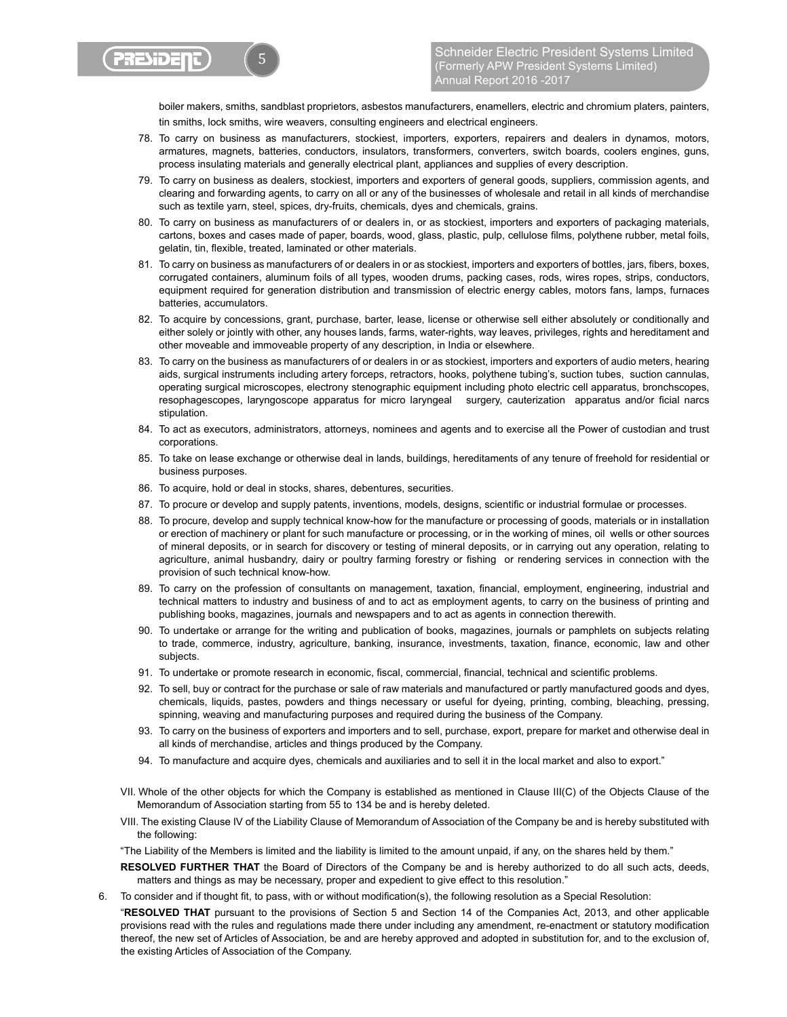

boiler makers, smiths, sandblast proprietors, asbestos manufacturers, enamellers, electric and chromium platers, painters, tin smiths, lock smiths, wire weavers, consulting engineers and electrical engineers.

- 78. To carry on business as manufacturers, stockiest, importers, exporters, repairers and dealers in dynamos, motors, armatures, magnets, batteries, conductors, insulators, transformers, converters, switch boards, coolers engines, guns, process insulating materials and generally electrical plant, appliances and supplies of every description.
- 79. To carry on business as dealers, stockiest, importers and exporters of general goods, suppliers, commission agents, and clearing and forwarding agents, to carry on all or any of the businesses of wholesale and retail in all kinds of merchandise such as textile yarn, steel, spices, dry-fruits, chemicals, dyes and chemicals, grains.
- 80. To carry on business as manufacturers of or dealers in, or as stockiest, importers and exporters of packaging materials, cartons, boxes and cases made of paper, boards, wood, glass, plastic, pulp, cellulose films, polythene rubber, metal foils, gelatin, tin, flexible, treated, laminated or other materials.
- 81. To carry on business as manufacturers of or dealers in or as stockiest, importers and exporters of bottles, jars, fibers, boxes, corrugated containers, aluminum foils of all types, wooden drums, packing cases, rods, wires ropes, strips, conductors, equipment required for generation distribution and transmission of electric energy cables, motors fans, lamps, furnaces batteries, accumulators.
- 82. To acquire by concessions, grant, purchase, barter, lease, license or otherwise sell either absolutely or conditionally and either solely or jointly with other, any houses lands, farms, water-rights, way leaves, privileges, rights and hereditament and other moveable and immoveable property of any description, in India or elsewhere.
- 83. To carry on the business as manufacturers of or dealers in or as stockiest, importers and exporters of audio meters, hearing aids, surgical instruments including artery forceps, retractors, hooks, polythene tubing's, suction tubes, suction cannulas, operating surgical microscopes, electrony stenographic equipment including photo electric cell apparatus, bronchscopes, resophagescopes, laryngoscope apparatus for micro laryngeal surgery, cauterization apparatus and/or ficial narcs stipulation.
- 84. To act as executors, administrators, attorneys, nominees and agents and to exercise all the Power of custodian and trust corporations.
- 85. To take on lease exchange or otherwise deal in lands, buildings, hereditaments of any tenure of freehold for residential or business purposes.
- 86. To acquire, hold or deal in stocks, shares, debentures, securities.
- 87. To procure or develop and supply patents, inventions, models, designs, scientific or industrial formulae or processes.
- 88. To procure, develop and supply technical know-how for the manufacture or processing of goods, materials or in installation or erection of machinery or plant for such manufacture or processing, or in the working of mines, oil wells or other sources of mineral deposits, or in search for discovery or testing of mineral deposits, or in carrying out any operation, relating to agriculture, animal husbandry, dairy or poultry farming forestry or fishing or rendering services in connection with the provision of such technical know-how.
- 89. To carry on the profession of consultants on management, taxation, financial, employment, engineering, industrial and technical matters to industry and business of and to act as employment agents, to carry on the business of printing and publishing books, magazines, journals and newspapers and to act as agents in connection therewith.
- 90. To undertake or arrange for the writing and publication of books, magazines, journals or pamphlets on subjects relating to trade, commerce, industry, agriculture, banking, insurance, investments, taxation, finance, economic, law and other subjects.
- 91. To undertake or promote research in economic, fiscal, commercial, financial, technical and scientific problems.
- 92. To sell, buy or contract for the purchase or sale of raw materials and manufactured or partly manufactured goods and dyes, chemicals, liquids, pastes, powders and things necessary or useful for dyeing, printing, combing, bleaching, pressing, spinning, weaving and manufacturing purposes and required during the business of the Company.
- 93. To carry on the business of exporters and importers and to sell, purchase, export, prepare for market and otherwise deal in all kinds of merchandise, articles and things produced by the Company.
- 94. To manufacture and acquire dyes, chemicals and auxiliaries and to sell it in the local market and also to export."
- VII. Whole of the other objects for which the Company is established as mentioned in Clause III(C) of the Objects Clause of the Memorandum of Association starting from 55 to 134 be and is hereby deleted.
- VIII. The existing Clause IV of the Liability Clause of Memorandum of Association of the Company be and is hereby substituted with the following:

"The Liability of the Members is limited and the liability is limited to the amount unpaid, if any, on the shares held by them."

- **RESOLVED FURTHER THAT** the Board of Directors of the Company be and is hereby authorized to do all such acts, deeds, matters and things as may be necessary, proper and expedient to give effect to this resolution."
- 6. To consider and if thought fit, to pass, with or without modification(s), the following resolution as a Special Resolution:

 "**RESOLVED THAT** pursuant to the provisions of Section 5 and Section 14 of the Companies Act, 2013, and other applicable provisions read with the rules and regulations made there under including any amendment, re-enactment or statutory modification thereof, the new set of Articles of Association, be and are hereby approved and adopted in substitution for, and to the exclusion of, the existing Articles of Association of the Company.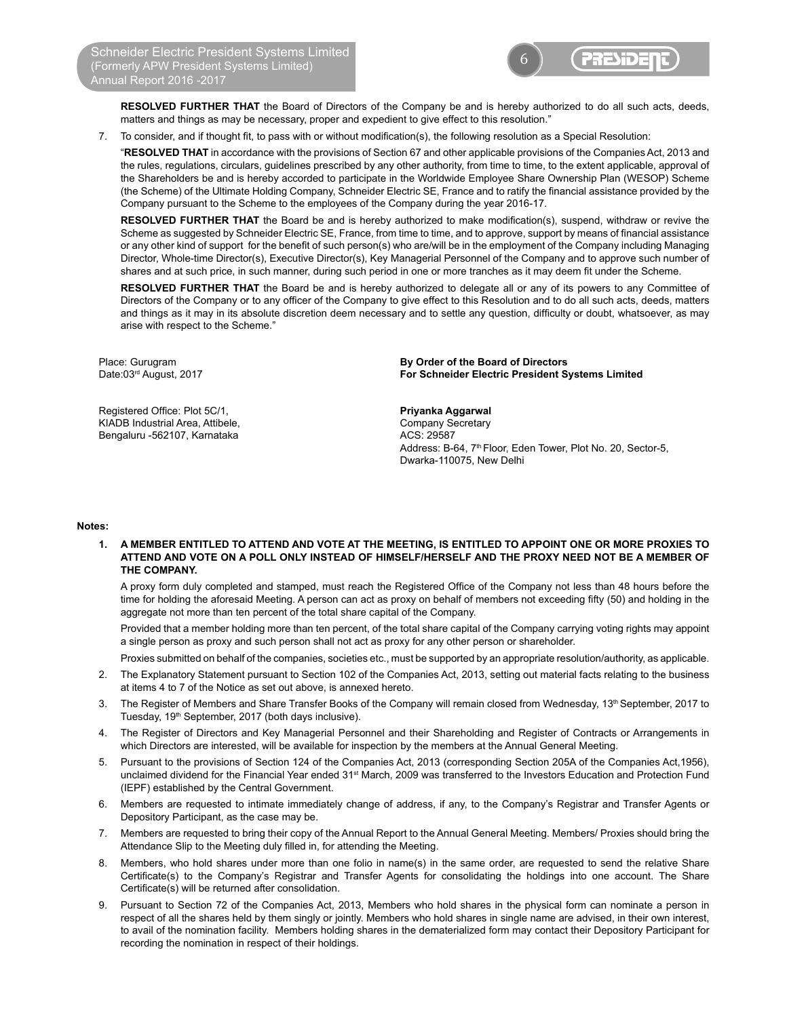

 **RESOLVED FURTHER THAT** the Board of Directors of the Company be and is hereby authorized to do all such acts, deeds, matters and things as may be necessary, proper and expedient to give effect to this resolution."

7. To consider, and if thought fit, to pass with or without modification(s), the following resolution as a Special Resolution:

 "**RESOLVED THAT** in accordance with the provisions of Section 67 and other applicable provisions of the Companies Act, 2013 and the rules, regulations, circulars, guidelines prescribed by any other authority, from time to time, to the extent applicable, approval of the Shareholders be and is hereby accorded to participate in the Worldwide Employee Share Ownership Plan (WESOP) Scheme (the Scheme) of the Ultimate Holding Company, Schneider Electric SE, France and to ratify the financial assistance provided by the Company pursuant to the Scheme to the employees of the Company during the year 2016-17.

RESOLVED FURTHER THAT the Board be and is hereby authorized to make modification(s), suspend, withdraw or revive the Scheme as suggested by Schneider Electric SE, France, from time to time, and to approve, support by means of financial assistance or any other kind of support for the benefit of such person(s) who are/will be in the employment of the Company including Managing Director, Whole-time Director(s), Executive Director(s), Key Managerial Personnel of the Company and to approve such number of shares and at such price, in such manner, during such period in one or more tranches as it may deem fit under the Scheme.

**RESOLVED FURTHER THAT** the Board be and is hereby authorized to delegate all or any of its powers to any Committee of Directors of the Company or to any officer of the Company to give effect to this Resolution and to do all such acts, deeds, matters and things as it may in its absolute discretion deem necessary and to settle any question, difficulty or doubt, whatsoever, as may arise with respect to the Scheme."

Frightered Office: Plot 5C/1, **Example 20 and Secure 1: Privanka Aggarwal**<br>Thanks and Mustrial Area, Attibele, **All and Secure 2: All and Secure 2: All and Secure 2: All and Secure 2: Al** KIADB Industrial Area, Attibele, Bengaluru -562107, Karnataka ACS: 29587

Place: Gurugram **By Order of the Board of Directors For Schneider Electric President Systems Limited** 

> Address: B-64, 7<sup>th</sup> Floor, Eden Tower, Plot No. 20, Sector-5, Dwarka-110075, New Delhi

#### **Notes:**

**1. A MEMBER ENTITLED TO ATTEND AND VOTE AT THE MEETING, IS ENTITLED TO APPOINT ONE OR MORE PROXIES TO ATTEND AND VOTE ON A POLL ONLY INSTEAD OF HIMSELF/HERSELF AND THE PROXY NEED NOT BE A MEMBER OF THE COMPANY.**

A proxy form duly completed and stamped, must reach the Registered Office of the Company not less than 48 hours before the time for holding the aforesaid Meeting. A person can act as proxy on behalf of members not exceeding fifty (50) and holding in the aggregate not more than ten percent of the total share capital of the Company.

 Provided that a member holding more than ten percent, of the total share capital of the Company carrying voting rights may appoint a single person as proxy and such person shall not act as proxy for any other person or shareholder.

Proxies submitted on behalf of the companies, societies etc., must be supported by an appropriate resolution/authority, as applicable.

- 2. The Explanatory Statement pursuant to Section 102 of the Companies Act, 2013, setting out material facts relating to the business at items 4 to 7 of the Notice as set out above, is annexed hereto.
- 3. The Register of Members and Share Transfer Books of the Company will remain closed from Wednesday, 13<sup>th</sup> September, 2017 to Tuesday, 19<sup>th</sup> September, 2017 (both days inclusive).
- 4. The Register of Directors and Key Managerial Personnel and their Shareholding and Register of Contracts or Arrangements in which Directors are interested, will be available for inspection by the members at the Annual General Meeting.
- 5. Pursuant to the provisions of Section 124 of the Companies Act, 2013 (corresponding Section 205A of the Companies Act,1956), unclaimed dividend for the Financial Year ended 31<sup>st</sup> March, 2009 was transferred to the Investors Education and Protection Fund (IEPF) established by the Central Government.
- 6. Members are requested to intimate immediately change of address, if any, to the Company's Registrar and Transfer Agents or Depository Participant, as the case may be.
- 7. Members are requested to bring their copy of the Annual Report to the Annual General Meeting. Members/ Proxies should bring the Attendance Slip to the Meeting duly filled in, for attending the Meeting.
- 8. Members, who hold shares under more than one folio in name(s) in the same order, are requested to send the relative Share Certificate(s) to the Company's Registrar and Transfer Agents for consolidating the holdings into one account. The Share Certificate(s) will be returned after consolidation.
- 9. Pursuant to Section 72 of the Companies Act, 2013, Members who hold shares in the physical form can nominate a person in respect of all the shares held by them singly or jointly. Members who hold shares in single name are advised, in their own interest, to avail of the nomination facility. Members holding shares in the dematerialized form may contact their Depository Participant for recording the nomination in respect of their holdings.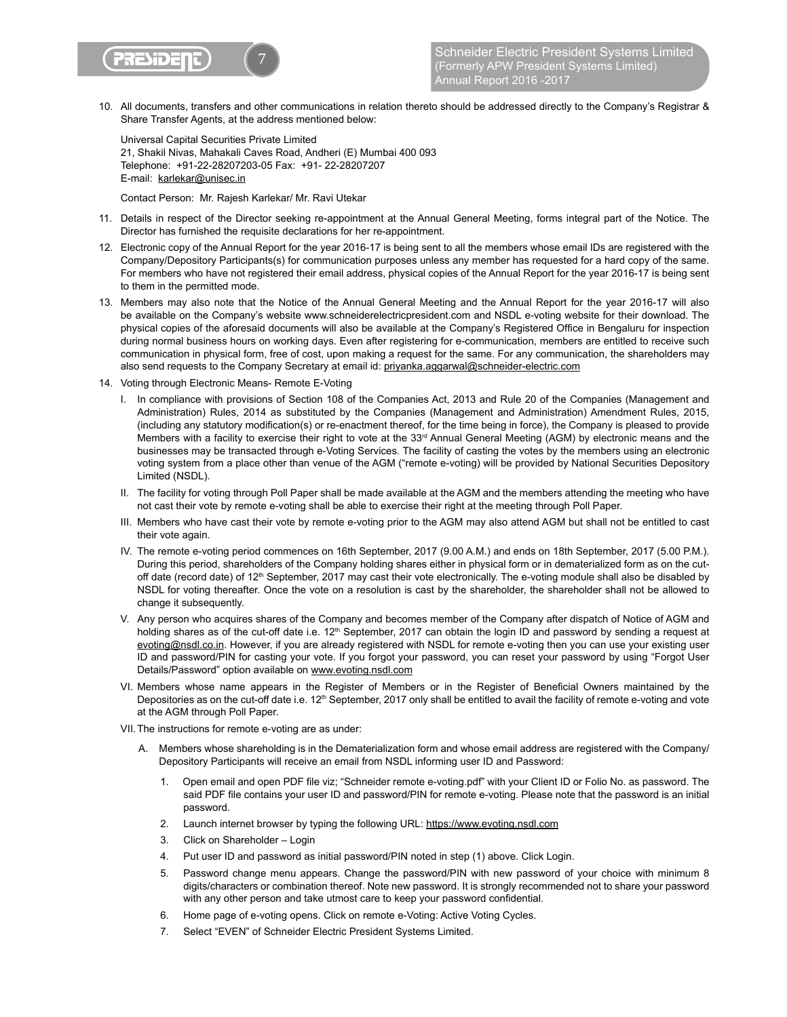

10. All documents, transfers and other communications in relation thereto should be addressed directly to the Company's Registrar & Share Transfer Agents, at the address mentioned below:

 Universal Capital Securities Private Limited 21, Shakil Nivas, Mahakali Caves Road, Andheri (E) Mumbai 400 093 Telephone: +91-22-28207203-05 Fax: +91- 22-28207207 E-mail: karlekar@unisec.in

Contact Person: Mr. Rajesh Karlekar/ Mr. Ravi Utekar

- 11. Details in respect of the Director seeking re-appointment at the Annual General Meeting, forms integral part of the Notice. The Director has furnished the requisite declarations for her re-appointment.
- 12. Electronic copy of the Annual Report for the year 2016-17 is being sent to all the members whose email IDs are registered with the Company/Depository Participants(s) for communication purposes unless any member has requested for a hard copy of the same. For members who have not registered their email address, physical copies of the Annual Report for the year 2016-17 is being sent to them in the permitted mode.
- 13. Members may also note that the Notice of the Annual General Meeting and the Annual Report for the year 2016-17 will also be available on the Company's website www.schneiderelectricpresident.com and NSDL e-voting website for their download. The physical copies of the aforesaid documents will also be available at the Company's Registered Office in Bengaluru for inspection during normal business hours on working days. Even after registering for e-communication, members are entitled to receive such communication in physical form, free of cost, upon making a request for the same. For any communication, the shareholders may also send requests to the Company Secretary at email id: privanka.aggarwal@schneider-electric.com
- 14. Voting through Electronic Means- Remote E-Voting
	- I. In compliance with provisions of Section 108 of the Companies Act, 2013 and Rule 20 of the Companies (Management and Administration) Rules, 2014 as substituted by the Companies (Management and Administration) Amendment Rules, 2015, (including any statutory modification(s) or re-enactment thereof, for the time being in force), the Company is pleased to provide Members with a facility to exercise their right to vote at the 33<sup>rd</sup> Annual General Meeting (AGM) by electronic means and the businesses may be transacted through e-Voting Services. The facility of casting the votes by the members using an electronic voting system from a place other than venue of the AGM ("remote e-voting) will be provided by National Securities Depository Limited (NSDL).
	- II. The facility for voting through Poll Paper shall be made available at the AGM and the members attending the meeting who have not cast their vote by remote e-voting shall be able to exercise their right at the meeting through Poll Paper.
	- III. Members who have cast their vote by remote e-voting prior to the AGM may also attend AGM but shall not be entitled to cast their vote again.
	- IV. The remote e-voting period commences on 16th September, 2017 (9.00 A.M.) and ends on 18th September, 2017 (5.00 P.M.). During this period, shareholders of the Company holding shares either in physical form or in dematerialized form as on the cutoff date (record date) of  $12<sup>th</sup>$  September, 2017 may cast their vote electronically. The e-voting module shall also be disabled by NSDL for voting thereafter. Once the vote on a resolution is cast by the shareholder, the shareholder shall not be allowed to change it subsequently.
	- V. Any person who acquires shares of the Company and becomes member of the Company after dispatch of Notice of AGM and holding shares as of the cut-off date i.e. 12<sup>th</sup> September, 2017 can obtain the login ID and password by sending a request at evoting@nsdl.co.in. However, if you are already registered with NSDL for remote e-voting then you can use your existing user ID and password/PIN for casting your vote. If you forgot your password, you can reset your password by using "Forgot User Details/Password" option available on www.evoting.nsdl.com
	- VI. Members whose name appears in the Register of Members or in the Register of Beneficial Owners maintained by the Depositories as on the cut-off date i.e. 12<sup>th</sup> September, 2017 only shall be entitled to avail the facility of remote e-voting and vote at the AGM through Poll Paper.
	- VII. The instructions for remote e-voting are as under:
		- A. Members whose shareholding is in the Dematerialization form and whose email address are registered with the Company/ Depository Participants will receive an email from NSDL informing user ID and Password:
			- 1. Open email and open PDF file viz; "Schneider remote e-voting.pdf" with your Client ID or Folio No. as password. The said PDF file contains your user ID and password/PIN for remote e-voting. Please note that the password is an initial password.
			- 2. Launch internet browser by typing the following URL: https://www.evoting.nsdl.com
			- 3. Click on Shareholder Login
			- 4. Put user ID and password as initial password/PIN noted in step (1) above. Click Login.
			- 5. Password change menu appears. Change the password/PIN with new password of your choice with minimum 8 digits/characters or combination thereof. Note new password. It is strongly recommended not to share your password with any other person and take utmost care to keep your password confidential.
			- 6. Home page of e-voting opens. Click on remote e-Voting: Active Voting Cycles.
			- 7. Select "EVEN" of Schneider Electric President Systems Limited.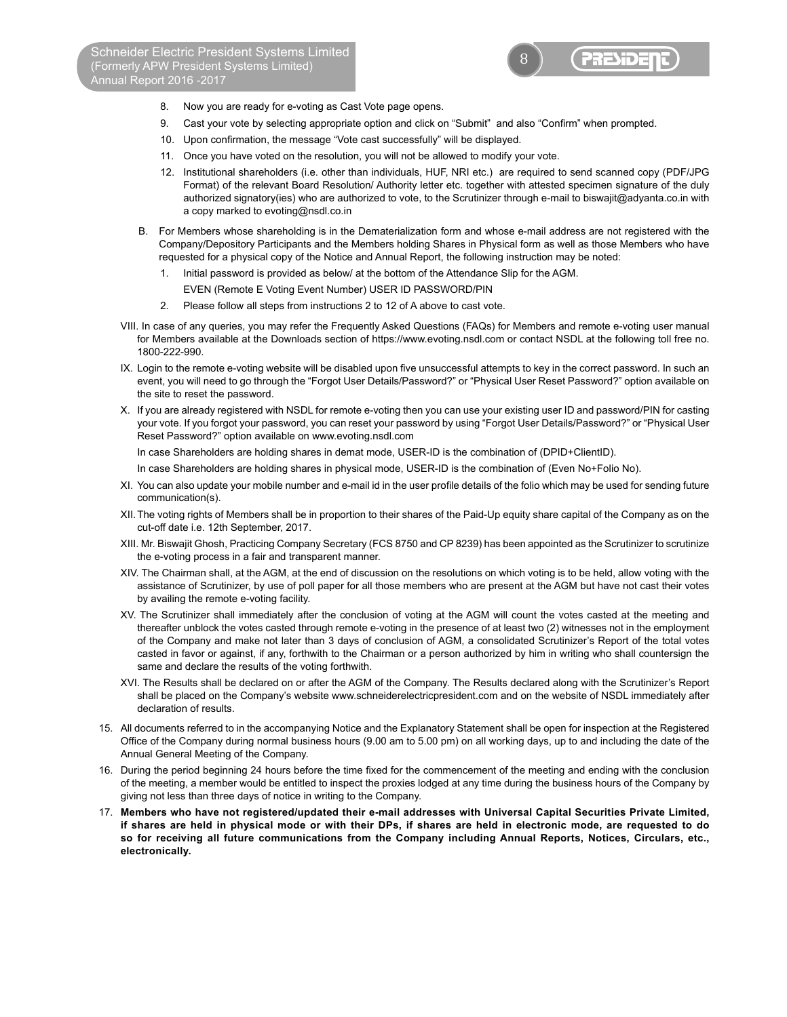

- 8. Now you are ready for e-voting as Cast Vote page opens.
- 9. Cast your vote by selecting appropriate option and click on "Submit" and also "Confirm" when prompted.
- 10. Upon confirmation, the message "Vote cast successfully" will be displayed.
- 11. Once you have voted on the resolution, you will not be allowed to modify your vote.
- 12. Institutional shareholders (i.e. other than individuals, HUF, NRI etc.) are required to send scanned copy (PDF/JPG Format) of the relevant Board Resolution/ Authority letter etc. together with attested specimen signature of the duly authorized signatory(ies) who are authorized to vote, to the Scrutinizer through e-mail to biswajit@adyanta.co.in with a copy marked to evoting@nsdl.co.in
- B. For Members whose shareholding is in the Dematerialization form and whose e-mail address are not registered with the Company/Depository Participants and the Members holding Shares in Physical form as well as those Members who have requested for a physical copy of the Notice and Annual Report, the following instruction may be noted:
	- 1. Initial password is provided as below/ at the bottom of the Attendance Slip for the AGM.
	- EVEN (Remote E Voting Event Number) USER ID PASSWORD/PIN
	- 2. Please follow all steps from instructions 2 to 12 of A above to cast vote.
- VIII. In case of any queries, you may refer the Frequently Asked Questions (FAQs) for Members and remote e-voting user manual for Members available at the Downloads section of https://www.evoting.nsdl.com or contact NSDL at the following toll free no. 1800-222-990.
- IX. Login to the remote e-voting website will be disabled upon five unsuccessful attempts to key in the correct password. In such an event, you will need to go through the "Forgot User Details/Password?" or "Physical User Reset Password?" option available on the site to reset the password.
- X. If you are already registered with NSDL for remote e-voting then you can use your existing user ID and password/PIN for casting your vote. If you forgot your password, you can reset your password by using "Forgot User Details/Password?" or "Physical User Reset Password?" option available on www.evoting.nsdl.com

In case Shareholders are holding shares in demat mode, USER-ID is the combination of (DPID+ClientID).

In case Shareholders are holding shares in physical mode, USER-ID is the combination of (Even No+Folio No).

- XI. You can also update your mobile number and e-mail id in the user profile details of the folio which may be used for sending future communication(s).
- XII. The voting rights of Members shall be in proportion to their shares of the Paid-Up equity share capital of the Company as on the cut-off date i.e. 12th September, 2017.
- XIII. Mr. Biswajit Ghosh, Practicing Company Secretary (FCS 8750 and CP 8239) has been appointed as the Scrutinizer to scrutinize the e-voting process in a fair and transparent manner.
- XIV. The Chairman shall, at the AGM, at the end of discussion on the resolutions on which voting is to be held, allow voting with the assistance of Scrutinizer, by use of poll paper for all those members who are present at the AGM but have not cast their votes by availing the remote e-voting facility.
- XV. The Scrutinizer shall immediately after the conclusion of voting at the AGM will count the votes casted at the meeting and thereafter unblock the votes casted through remote e-voting in the presence of at least two (2) witnesses not in the employment of the Company and make not later than 3 days of conclusion of AGM, a consolidated Scrutinizer's Report of the total votes casted in favor or against, if any, forthwith to the Chairman or a person authorized by him in writing who shall countersign the same and declare the results of the voting forthwith.
- XVI. The Results shall be declared on or after the AGM of the Company. The Results declared along with the Scrutinizer's Report shall be placed on the Company's website www.schneiderelectricpresident.com and on the website of NSDL immediately after declaration of results.
- 15. All documents referred to in the accompanying Notice and the Explanatory Statement shall be open for inspection at the Registered Office of the Company during normal business hours (9.00 am to 5.00 pm) on all working days, up to and including the date of the Annual General Meeting of the Company.
- 16. During the period beginning 24 hours before the time fixed for the commencement of the meeting and ending with the conclusion of the meeting, a member would be entitled to inspect the proxies lodged at any time during the business hours of the Company by giving not less than three days of notice in writing to the Company.
- 17. **Members who have not registered/updated their e-mail addresses with Universal Capital Securities Private Limited, if shares are held in physical mode or with their DPs, if shares are held in electronic mode, are requested to do so for receiving all future communications from the Company including Annual Reports, Notices, Circulars, etc., electronically.**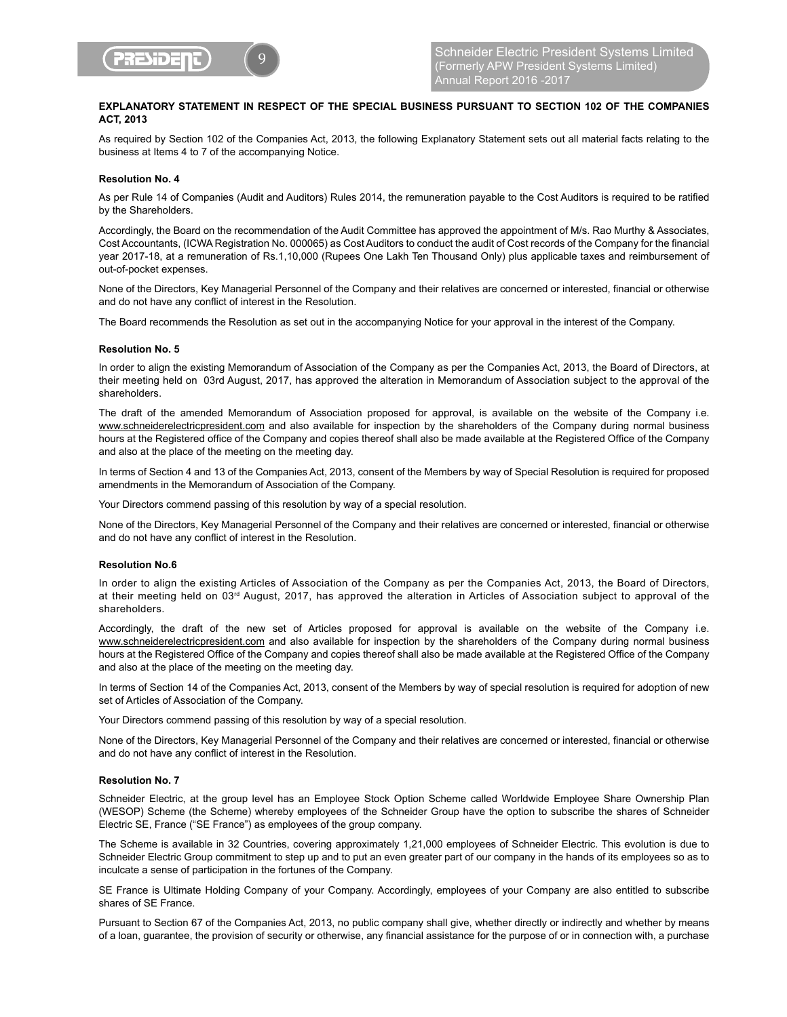

# **EXPLANATORY STATEMENT IN RESPECT OF THE SPECIAL BUSINESS PURSUANT TO SECTION 102 OF THE COMPANIES ACT, 2013**

As required by Section 102 of the Companies Act, 2013, the following Explanatory Statement sets out all material facts relating to the business at Items 4 to 7 of the accompanying Notice.

### **Resolution No. 4**

As per Rule 14 of Companies (Audit and Auditors) Rules 2014, the remuneration payable to the Cost Auditors is required to be ratified by the Shareholders.

Accordingly, the Board on the recommendation of the Audit Committee has approved the appointment of M/s. Rao Murthy & Associates, Cost Accountants, (ICWA Registration No. 000065) as Cost Auditors to conduct the audit of Cost records of the Company for the financial year 2017-18, at a remuneration of Rs.1,10,000 (Rupees One Lakh Ten Thousand Only) plus applicable taxes and reimbursement of out-of-pocket expenses.

None of the Directors, Key Managerial Personnel of the Company and their relatives are concerned or interested, financial or otherwise and do not have any conflict of interest in the Resolution.

The Board recommends the Resolution as set out in the accompanying Notice for your approval in the interest of the Company.

#### **Resolution No. 5**

In order to align the existing Memorandum of Association of the Company as per the Companies Act, 2013, the Board of Directors, at their meeting held on 03rd August, 2017, has approved the alteration in Memorandum of Association subject to the approval of the shareholders.

The draft of the amended Memorandum of Association proposed for approval, is available on the website of the Company i.e. www.schneiderelectricpresident.com and also available for inspection by the shareholders of the Company during normal business hours at the Registered office of the Company and copies thereof shall also be made available at the Registered Office of the Company and also at the place of the meeting on the meeting day.

In terms of Section 4 and 13 of the Companies Act, 2013, consent of the Members by way of Special Resolution is required for proposed amendments in the Memorandum of Association of the Company.

Your Directors commend passing of this resolution by way of a special resolution.

None of the Directors, Key Managerial Personnel of the Company and their relatives are concerned or interested, financial or otherwise and do not have any conflict of interest in the Resolution.

#### **Resolution No.6**

In order to align the existing Articles of Association of the Company as per the Companies Act, 2013, the Board of Directors, at their meeting held on 03rd August, 2017, has approved the alteration in Articles of Association subject to approval of the shareholders.

Accordingly, the draft of the new set of Articles proposed for approval is available on the website of the Company i.e. www.schneiderelectricpresident.com and also available for inspection by the shareholders of the Company during normal business hours at the Registered Office of the Company and copies thereof shall also be made available at the Registered Office of the Company and also at the place of the meeting on the meeting day.

In terms of Section 14 of the Companies Act, 2013, consent of the Members by way of special resolution is required for adoption of new set of Articles of Association of the Company.

Your Directors commend passing of this resolution by way of a special resolution.

None of the Directors, Key Managerial Personnel of the Company and their relatives are concerned or interested, financial or otherwise and do not have any conflict of interest in the Resolution.

#### **Resolution No. 7**

Schneider Electric, at the group level has an Employee Stock Option Scheme called Worldwide Employee Share Ownership Plan (WESOP) Scheme (the Scheme) whereby employees of the Schneider Group have the option to subscribe the shares of Schneider Electric SE, France ("SE France") as employees of the group company.

The Scheme is available in 32 Countries, covering approximately 1,21,000 employees of Schneider Electric. This evolution is due to Schneider Electric Group commitment to step up and to put an even greater part of our company in the hands of its employees so as to inculcate a sense of participation in the fortunes of the Company.

SE France is Ultimate Holding Company of your Company. Accordingly, employees of your Company are also entitled to subscribe shares of SE France.

Pursuant to Section 67 of the Companies Act, 2013, no public company shall give, whether directly or indirectly and whether by means of a loan, guarantee, the provision of security or otherwise, any financial assistance for the purpose of or in connection with, a purchase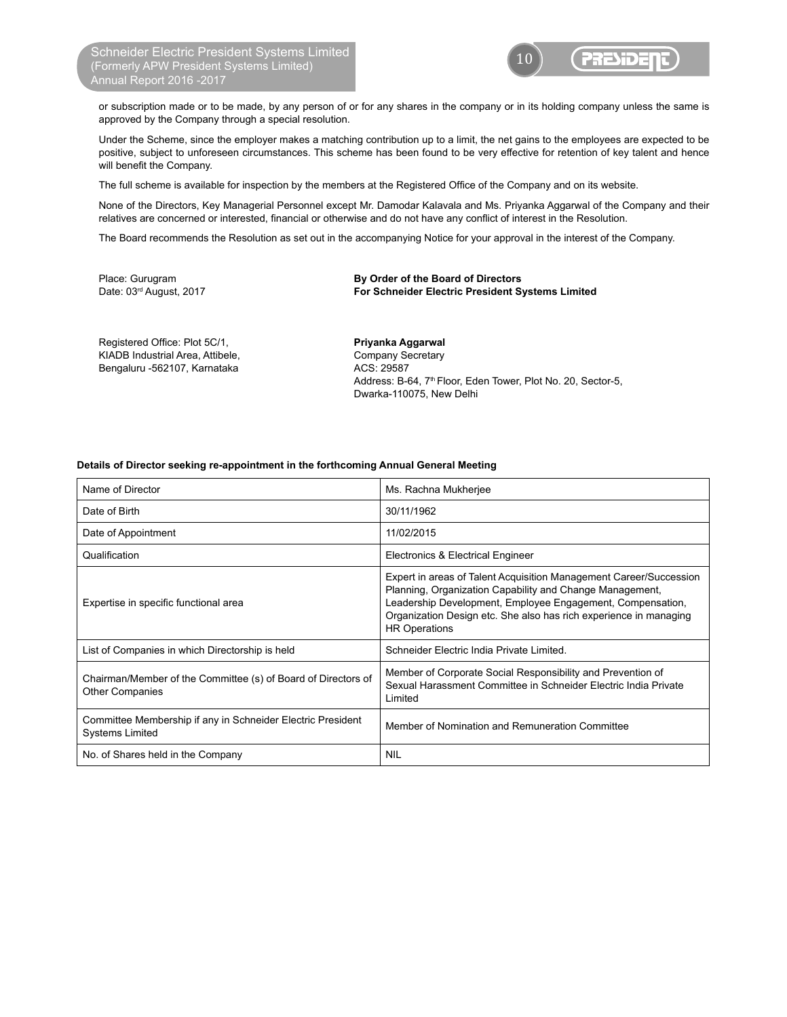

or subscription made or to be made, by any person of or for any shares in the company or in its holding company unless the same is approved by the Company through a special resolution.

Under the Scheme, since the employer makes a matching contribution up to a limit, the net gains to the employees are expected to be positive, subject to unforeseen circumstances. This scheme has been found to be very effective for retention of key talent and hence will benefit the Company.

The full scheme is available for inspection by the members at the Registered Office of the Company and on its website.

None of the Directors, Key Managerial Personnel except Mr. Damodar Kalavala and Ms. Priyanka Aggarwal of the Company and their relatives are concerned or interested, financial or otherwise and do not have any conflict of interest in the Resolution.

The Board recommends the Resolution as set out in the accompanying Notice for your approval in the interest of the Company.

Place: Gurugram **By Order of the Board of Directors** Date: 03rd August, 2017 **For Schneider Electric President Systems Limited**

Registered Office: Plot 5C/1, **Example 20 Figure 1 Priyanka Aggarwal** KIADB Industrial Area, Attibele, Company Secretary Bengaluru -562107, Karnataka ACS: 29587

Address: B-64, 7<sup>th</sup> Floor, Eden Tower, Plot No. 20, Sector-5, Dwarka-110075, New Delhi

## **Details of Director seeking re-appointment in the forthcoming Annual General Meeting**

| Name of Director                                                                        | Ms. Rachna Mukherjee                                                                                                                                                                                                                                                                      |
|-----------------------------------------------------------------------------------------|-------------------------------------------------------------------------------------------------------------------------------------------------------------------------------------------------------------------------------------------------------------------------------------------|
| Date of Birth                                                                           | 30/11/1962                                                                                                                                                                                                                                                                                |
| Date of Appointment                                                                     | 11/02/2015                                                                                                                                                                                                                                                                                |
| Qualification                                                                           | Electronics & Electrical Engineer                                                                                                                                                                                                                                                         |
| Expertise in specific functional area                                                   | Expert in areas of Talent Acquisition Management Career/Succession<br>Planning, Organization Capability and Change Management,<br>Leadership Development, Employee Engagement, Compensation,<br>Organization Design etc. She also has rich experience in managing<br><b>HR Operations</b> |
| List of Companies in which Directorship is held                                         | Schneider Electric India Private Limited.                                                                                                                                                                                                                                                 |
| Chairman/Member of the Committee (s) of Board of Directors of<br><b>Other Companies</b> | Member of Corporate Social Responsibility and Prevention of<br>Sexual Harassment Committee in Schneider Electric India Private<br>Limited                                                                                                                                                 |
| Committee Membership if any in Schneider Electric President<br><b>Systems Limited</b>   | Member of Nomination and Remuneration Committee                                                                                                                                                                                                                                           |
| No. of Shares held in the Company                                                       | <b>NIL</b>                                                                                                                                                                                                                                                                                |